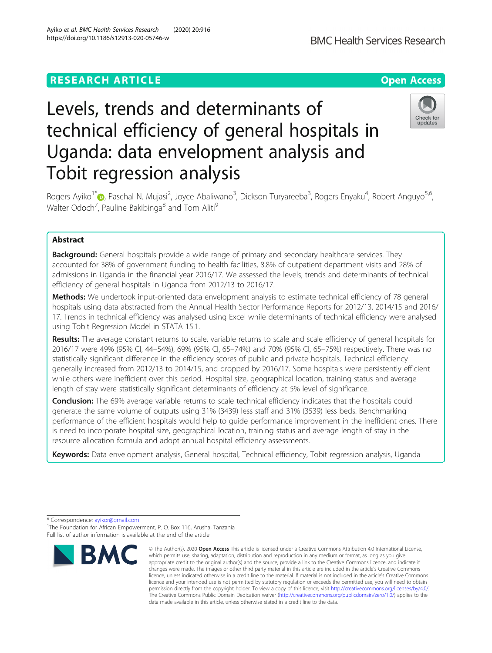# **RESEARCH ARTICLE Example 2014 12:30 The Contract of Contract ACCESS**

# Levels, trends and determinants of technical efficiency of general hospitals in Uganda: data envelopment analysis and Tobit regression analysis

Rogers Ayiko<sup>1\*</sup> D, Paschal N. Mujasi<sup>2</sup>, Joyce Abaliwano<sup>3</sup>, Dickson Turyareeba<sup>3</sup>, Rogers Enyaku<sup>4</sup>, Robert Anguyo<sup>5,6</sup>, Walter Odoch<sup>7</sup>, Pauline Bakibinga $^8$  and Tom Aliti $^9$ 

# Abstract

**Background:** General hospitals provide a wide range of primary and secondary healthcare services. They accounted for 38% of government funding to health facilities, 8.8% of outpatient department visits and 28% of admissions in Uganda in the financial year 2016/17. We assessed the levels, trends and determinants of technical efficiency of general hospitals in Uganda from 2012/13 to 2016/17.

Methods: We undertook input-oriented data envelopment analysis to estimate technical efficiency of 78 general hospitals using data abstracted from the Annual Health Sector Performance Reports for 2012/13, 2014/15 and 2016/ 17. Trends in technical efficiency was analysed using Excel while determinants of technical efficiency were analysed using Tobit Regression Model in STATA 15.1.

Results: The average constant returns to scale, variable returns to scale and scale efficiency of general hospitals for 2016/17 were 49% (95% CI, 44–54%), 69% (95% CI, 65–74%) and 70% (95% CI, 65–75%) respectively. There was no statistically significant difference in the efficiency scores of public and private hospitals. Technical efficiency generally increased from 2012/13 to 2014/15, and dropped by 2016/17. Some hospitals were persistently efficient while others were inefficient over this period. Hospital size, geographical location, training status and average length of stay were statistically significant determinants of efficiency at 5% level of significance.

Conclusion: The 69% average variable returns to scale technical efficiency indicates that the hospitals could generate the same volume of outputs using 31% (3439) less staff and 31% (3539) less beds. Benchmarking performance of the efficient hospitals would help to guide performance improvement in the inefficient ones. There is need to incorporate hospital size, geographical location, training status and average length of stay in the resource allocation formula and adopt annual hospital efficiency assessments.

Keywords: Data envelopment analysis, General hospital, Technical efficiency, Tobit regression analysis, Uganda

\* Correspondence: [ayikor@gmail.com](mailto:ayikor@gmail.com) <sup>1</sup>

<sup>1</sup>The Foundation for African Empowerment, P. O. Box 116, Arusha, Tanzania Full list of author information is available at the end of the article









<sup>©</sup> The Author(s), 2020 **Open Access** This article is licensed under a Creative Commons Attribution 4.0 International License, which permits use, sharing, adaptation, distribution and reproduction in any medium or format, as long as you give appropriate credit to the original author(s) and the source, provide a link to the Creative Commons licence, and indicate if changes were made. The images or other third party material in this article are included in the article's Creative Commons licence, unless indicated otherwise in a credit line to the material. If material is not included in the article's Creative Commons licence and your intended use is not permitted by statutory regulation or exceeds the permitted use, you will need to obtain permission directly from the copyright holder. To view a copy of this licence, visit [http://creativecommons.org/licenses/by/4.0/.](http://creativecommons.org/licenses/by/4.0/) The Creative Commons Public Domain Dedication waiver [\(http://creativecommons.org/publicdomain/zero/1.0/](http://creativecommons.org/publicdomain/zero/1.0/)) applies to the data made available in this article, unless otherwise stated in a credit line to the data.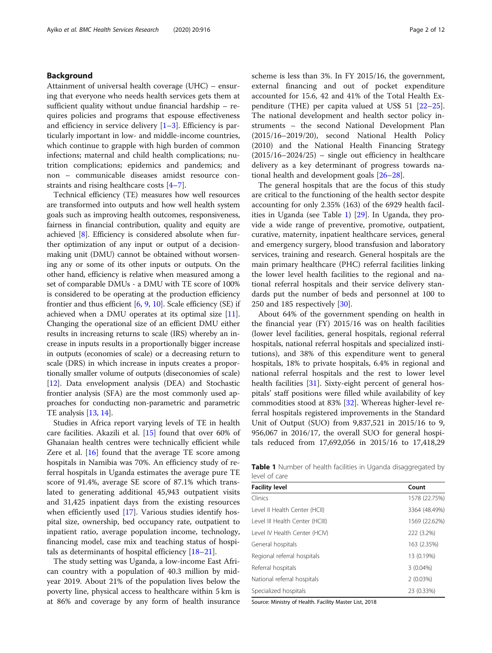# Background

Attainment of universal health coverage (UHC) – ensuring that everyone who needs health services gets them at sufficient quality without undue financial hardship – requires policies and programs that espouse effectiveness and efficiency in service delivery  $[1-3]$  $[1-3]$  $[1-3]$  $[1-3]$ . Efficiency is particularly important in low- and middle-income countries, which continue to grapple with high burden of common infections; maternal and child health complications; nutrition complications; epidemics and pandemics; and non – communicable diseases amidst resource constraints and rising healthcare costs [[4](#page-10-0)–[7](#page-10-0)].

Technical efficiency (TE) measures how well resources are transformed into outputs and how well health system goals such as improving health outcomes, responsiveness, fairness in financial contribution, quality and equity are achieved [\[8](#page-10-0)]. Efficiency is considered absolute when further optimization of any input or output of a decisionmaking unit (DMU) cannot be obtained without worsening any or some of its other inputs or outputs. On the other hand, efficiency is relative when measured among a set of comparable DMUs - a DMU with TE score of 100% is considered to be operating at the production efficiency frontier and thus efficient  $[6, 9, 10]$  $[6, 9, 10]$  $[6, 9, 10]$  $[6, 9, 10]$  $[6, 9, 10]$  $[6, 9, 10]$ . Scale efficiency (SE) if achieved when a DMU operates at its optimal size [[11](#page-11-0)]. Changing the operational size of an efficient DMU either results in increasing returns to scale (IRS) whereby an increase in inputs results in a proportionally bigger increase in outputs (economies of scale) or a decreasing return to scale (DRS) in which increase in inputs creates a proportionally smaller volume of outputs (diseconomies of scale) [[12](#page-11-0)]. Data envelopment analysis (DEA) and Stochastic frontier analysis (SFA) are the most commonly used approaches for conducting non-parametric and parametric TE analysis [[13](#page-11-0), [14](#page-11-0)].

Studies in Africa report varying levels of TE in health care facilities. Akazili et al. [\[15\]](#page-11-0) found that over 60% of Ghanaian health centres were technically efficient while Zere et al.  $[16]$  $[16]$  found that the average TE score among hospitals in Namibia was 70%. An efficiency study of referral hospitals in Uganda estimates the average pure TE score of 91.4%, average SE score of 87.1% which translated to generating additional 45,943 outpatient visits and 31,425 inpatient days from the existing resources when efficiently used [[17\]](#page-11-0). Various studies identify hospital size, ownership, bed occupancy rate, outpatient to inpatient ratio, average population income, technology, financing model, case mix and teaching status of hospitals as determinants of hospital efficiency [[18](#page-11-0)–[21](#page-11-0)].

The study setting was Uganda, a low-income East African country with a population of 40.3 million by midyear 2019. About 21% of the population lives below the poverty line, physical access to healthcare within 5 km is at 86% and coverage by any form of health insurance scheme is less than 3%. In FY 2015/16, the government, external financing and out of pocket expenditure accounted for 15.6, 42 and 41% of the Total Health Expenditure (THE) per capita valued at US\$ 51 [[22](#page-11-0)–[25](#page-11-0)]. The national development and health sector policy instruments – the second National Development Plan (2015/16–2019/20), second National Health Policy (2010) and the National Health Financing Strategy  $(2015/16-2024/25)$  – single out efficiency in healthcare delivery as a key determinant of progress towards national health and development goals [\[26](#page-11-0)–[28\]](#page-11-0).

The general hospitals that are the focus of this study are critical to the functioning of the health sector despite accounting for only 2.35% (163) of the 6929 health facilities in Uganda (see Table 1) [\[29\]](#page-11-0). In Uganda, they provide a wide range of preventive, promotive, outpatient, curative, maternity, inpatient healthcare services, general and emergency surgery, blood transfusion and laboratory services, training and research. General hospitals are the main primary healthcare (PHC) referral facilities linking the lower level health facilities to the regional and national referral hospitals and their service delivery standards put the number of beds and personnel at 100 to 250 and 185 respectively [[30](#page-11-0)].

About 64% of the government spending on health in the financial year (FY) 2015/16 was on health facilities (lower level facilities, general hospitals, regional referral hospitals, national referral hospitals and specialized institutions), and 38% of this expenditure went to general hospitals, 18% to private hospitals, 6.4% in regional and national referral hospitals and the rest to lower level health facilities [\[31\]](#page-11-0). Sixty-eight percent of general hospitals' staff positions were filled while availability of key commodities stood at 83% [\[32\]](#page-11-0). Whereas higher-level referral hospitals registered improvements in the Standard Unit of Output (SUO) from 9,837,521 in 2015/16 to 9, 956,067 in 2016/17, the overall SUO for general hospitals reduced from 17,692,056 in 2015/16 to 17,418,29

Table 1 Number of health facilities in Uganda disaggregated by level of care

| <b>Facility level</b>           | Count         |
|---------------------------------|---------------|
| Clinics                         | 1578 (22.75%) |
| Level II Health Center (HCII)   | 3364 (48.49%) |
| Level III Health Center (HCIII) | 1569 (22.62%) |
| Level IV Health Center (HCIV)   | 222 (3.2%)    |
| General hospitals               | 163 (2.35%)   |
| Regional referral hospitals     | 13 (0.19%)    |
| Referral hospitals              | $3(0.04\%)$   |
| National referral hospitals     | 2(0.03%)      |
| Specialized hospitals           | 23 (0.33%)    |
|                                 |               |

Source: Ministry of Health. Facility Master List, 2018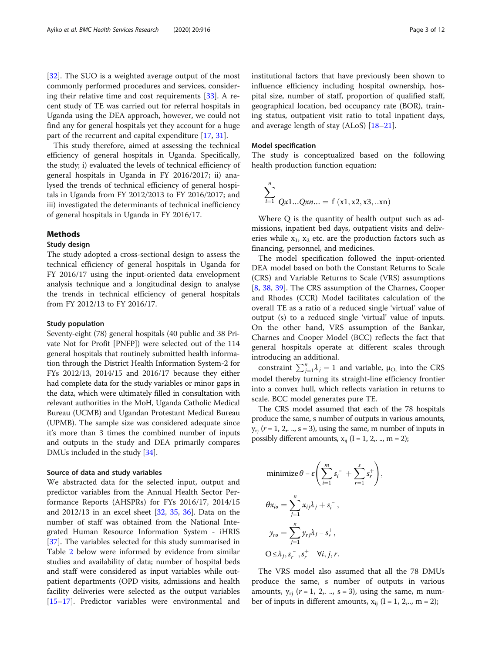[[32\]](#page-11-0). The SUO is a weighted average output of the most commonly performed procedures and services, considering their relative time and cost requirements [[33\]](#page-11-0). A recent study of TE was carried out for referral hospitals in Uganda using the DEA approach, however, we could not find any for general hospitals yet they account for a huge part of the recurrent and capital expenditure [\[17](#page-11-0), [31\]](#page-11-0).

This study therefore, aimed at assessing the technical efficiency of general hospitals in Uganda. Specifically, the study; i) evaluated the levels of technical efficiency of general hospitals in Uganda in FY 2016/2017; ii) analysed the trends of technical efficiency of general hospitals in Uganda from FY 2012/2013 to FY 2016/2017; and iii) investigated the determinants of technical inefficiency of general hospitals in Uganda in FY 2016/17.

# Methods

# Study design

The study adopted a cross-sectional design to assess the technical efficiency of general hospitals in Uganda for FY 2016/17 using the input-oriented data envelopment analysis technique and a longitudinal design to analyse the trends in technical efficiency of general hospitals from FY 2012/13 to FY 2016/17.

# Study population

Seventy-eight (78) general hospitals (40 public and 38 Private Not for Profit [PNFP]) were selected out of the 114 general hospitals that routinely submitted health information through the District Health Information System-2 for FYs 2012/13, 2014/15 and 2016/17 because they either had complete data for the study variables or minor gaps in the data, which were ultimately filled in consultation with relevant authorities in the MoH, Uganda Catholic Medical Bureau (UCMB) and Ugandan Protestant Medical Bureau (UPMB). The sample size was considered adequate since it's more than 3 times the combined number of inputs and outputs in the study and DEA primarily compares DMUs included in the study [\[34\]](#page-11-0).

# Source of data and study variables

We abstracted data for the selected input, output and predictor variables from the Annual Health Sector Performance Reports (AHSPRs) for FYs 2016/17, 2014/15 and 2012/13 in an excel sheet [\[32,](#page-11-0) [35,](#page-11-0) [36](#page-11-0)]. Data on the number of staff was obtained from the National Integrated Human Resource Information System - iHRIS [[37\]](#page-11-0). The variables selected for this study summarised in Table [2](#page-3-0) below were informed by evidence from similar studies and availability of data; number of hospital beds and staff were considered as input variables while outpatient departments (OPD visits, admissions and health facility deliveries were selected as the output variables [[15](#page-11-0)–[17](#page-11-0)]. Predictor variables were environmental and institutional factors that have previously been shown to influence efficiency including hospital ownership, hospital size, number of staff, proportion of qualified staff, geographical location, bed occupancy rate (BOR), training status, outpatient visit ratio to total inpatient days, and average length of stay (ALoS) [\[18](#page-11-0)–[21\]](#page-11-0).

# Model specification

The study is conceptualized based on the following health production function equation:

$$
\sum_{i=1}^{n} Qx1...Qxn... = f(x1, x2, x3, ...xn)
$$

Where Q is the quantity of health output such as admissions, inpatient bed days, outpatient visits and deliveries while  $x_1$ ,  $x_2$  etc. are the production factors such as financing, personnel, and medicines.

The model specification followed the input-oriented DEA model based on both the Constant Returns to Scale (CRS) and Variable Returns to Scale (VRS) assumptions [[8,](#page-10-0) [38,](#page-11-0) [39](#page-11-0)]. The CRS assumption of the Charnes, Cooper and Rhodes (CCR) Model facilitates calculation of the overall TE as a ratio of a reduced single 'virtual' value of output (s) to a reduced single 'virtual' value of inputs. On the other hand, VRS assumption of the Bankar, Charnes and Cooper Model (BCC) reflects the fact that general hospitals operate at different scales through introducing an additional.

constraint  $\sum_{j=1}^{n} \lambda_j = 1$  and variable,  $\mu_{\text{O}}$ , into the CRS model thereby turning its straight-line efficiency frontier into a convex hull, which reflects variation in returns to scale. BCC model generates pure TE.

The CRS model assumed that each of the 78 hospitals produce the same, s number of outputs in various amounts,  $y_{ri}$  ( $r = 1, 2, \ldots$ , s = 3), using the same, m number of inputs in possibly different amounts,  $x_{ii}$  (I = 1, 2,. .., m = 2);

minimize 
$$
\theta - \varepsilon \left( \sum_{i=1}^{m} s_i^{-} + \sum_{r=1}^{s} s_r^{+} \right)
$$
,  
\n
$$
\theta x_{io} = \sum_{j=1}^{n} x_{ij} \lambda_j + s_i^{-},
$$
\n
$$
y_{ro} = \sum_{j=1}^{n} y_{rj} \lambda_j - s_r^{+},
$$
\n
$$
O \leq \lambda_j, s_r^{-}, s_r^{+} \quad \forall i, j, r.
$$

The VRS model also assumed that all the 78 DMUs produce the same, s number of outputs in various amounts,  $y_{ri}$  ( $r = 1, 2, \ldots$ ,  $s = 3$ ), using the same, m number of inputs in different amounts,  $x_{ij}$  (I = 1, 2,.., m = 2);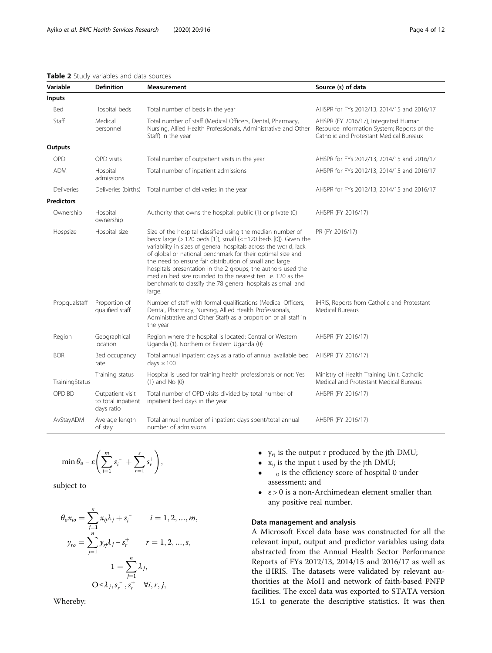# <span id="page-3-0"></span>Table 2 Study variables and data sources

| Variable          | <b>Definition</b>                                    | <b>Measurement</b>                                                                                                                                                                                                                                                                                                                                                                                                                                                                                                                   | Source (s) of data                                                                                                             |
|-------------------|------------------------------------------------------|--------------------------------------------------------------------------------------------------------------------------------------------------------------------------------------------------------------------------------------------------------------------------------------------------------------------------------------------------------------------------------------------------------------------------------------------------------------------------------------------------------------------------------------|--------------------------------------------------------------------------------------------------------------------------------|
| Inputs            |                                                      |                                                                                                                                                                                                                                                                                                                                                                                                                                                                                                                                      |                                                                                                                                |
| Bed               | Hospital beds                                        | Total number of beds in the year                                                                                                                                                                                                                                                                                                                                                                                                                                                                                                     | AHSPR for FYs 2012/13, 2014/15 and 2016/17                                                                                     |
| Staff             | Medical<br>personnel                                 | Total number of staff (Medical Officers, Dental, Pharmacy,<br>Nursing, Allied Health Professionals, Administrative and Other<br>Staff) in the year                                                                                                                                                                                                                                                                                                                                                                                   | AHSPR (FY 2016/17), Integrated Human<br>Resource Information System; Reports of the<br>Catholic and Protestant Medical Bureaux |
| <b>Outputs</b>    |                                                      |                                                                                                                                                                                                                                                                                                                                                                                                                                                                                                                                      |                                                                                                                                |
| OPD               | <b>OPD</b> visits                                    | Total number of outpatient visits in the year                                                                                                                                                                                                                                                                                                                                                                                                                                                                                        | AHSPR for FYs 2012/13, 2014/15 and 2016/17                                                                                     |
| <b>ADM</b>        | Hospital<br>admissions                               | Total number of inpatient admissions                                                                                                                                                                                                                                                                                                                                                                                                                                                                                                 | AHSPR for FYs 2012/13, 2014/15 and 2016/17                                                                                     |
| Deliveries        | Deliveries (births)                                  | Total number of deliveries in the year                                                                                                                                                                                                                                                                                                                                                                                                                                                                                               | AHSPR for FYs 2012/13, 2014/15 and 2016/17                                                                                     |
| <b>Predictors</b> |                                                      |                                                                                                                                                                                                                                                                                                                                                                                                                                                                                                                                      |                                                                                                                                |
| Ownership         | Hospital<br>ownership                                | Authority that owns the hospital: public (1) or private (0)                                                                                                                                                                                                                                                                                                                                                                                                                                                                          | AHSPR (FY 2016/17)                                                                                                             |
| Hospsize          | Hospital size                                        | Size of the hospital classified using the median number of<br>beds: large $(>120$ beds [1]), small $(<=120$ beds [0]). Given the<br>variability in sizes of general hospitals across the world, lack<br>of global or national benchmark for their optimal size and<br>the need to ensure fair distribution of small and large<br>hospitals presentation in the 2 groups, the authors used the<br>median bed size rounded to the nearest ten i.e. 120 as the<br>benchmark to classify the 78 general hospitals as small and<br>large. | PR (FY 2016/17)                                                                                                                |
| Propqualstaff     | Proportion of<br>qualified staff                     | Number of staff with formal qualifications (Medical Officers,<br>Dental, Pharmacy, Nursing, Allied Health Professionals,<br>Administrative and Other Staff) as a proportion of all staff in<br>the year                                                                                                                                                                                                                                                                                                                              | iHRIS, Reports from Catholic and Protestant<br>Medical Bureaus                                                                 |
| Region            | Geographical<br>location                             | Region where the hospital is located: Central or Western<br>Uganda (1), Northern or Eastern Uganda (0)                                                                                                                                                                                                                                                                                                                                                                                                                               | AHSPR (FY 2016/17)                                                                                                             |
| <b>BOR</b>        | Bed occupancy<br>rate                                | Total annual inpatient days as a ratio of annual available bed<br>days $\times$ 100                                                                                                                                                                                                                                                                                                                                                                                                                                                  | AHSPR (FY 2016/17)                                                                                                             |
| TrainingStatus    | Training status                                      | Hospital is used for training health professionals or not: Yes<br>$(1)$ and No $(0)$                                                                                                                                                                                                                                                                                                                                                                                                                                                 | Ministry of Health Training Unit, Catholic<br>Medical and Protestant Medical Bureaus                                           |
| OPDIBD            | Outpatient visit<br>to total inpatient<br>days ratio | Total number of OPD visits divided by total number of<br>inpatient bed days in the year                                                                                                                                                                                                                                                                                                                                                                                                                                              | AHSPR (FY 2016/17)                                                                                                             |
| AvStayADM         | Average length<br>of stay                            | Total annual number of inpatient days spent/total annual<br>number of admissions                                                                                                                                                                                                                                                                                                                                                                                                                                                     | AHSPR (FY 2016/17)                                                                                                             |

$$
\min \theta_o - \varepsilon \left( \sum_{i=1}^m s_i^- + \sum_{r=1}^s s_r^+ \right),
$$

subject to

$$
\theta_0 x_{io} = \sum_{j=1}^n x_{ij} \lambda_j + s_i^- \qquad i = 1, 2, ..., m,
$$
  

$$
y_{ro} = \sum_{j=1}^n y_{rj} \lambda_j - s_r^+ \qquad r = 1, 2, ..., s,
$$
  

$$
1 = \sum_{j=1}^n \lambda_j,
$$
  

$$
O \le \lambda_j, s_r^- , s_r^+ \quad \forall i, r, j,
$$

•  $y_{rj}$  is the output r produced by the jth DMU;

•  $x_{ij}$  is the input i used by the jth DMU;

- - <sup>0</sup> is the efficiency score of hospital 0 under assessment; and
- $\bullet$   $\varepsilon > 0$  is a non-Archimedean element smaller than any positive real number.

# Data management and analysis

A Microsoft Excel data base was constructed for all the relevant input, output and predictor variables using data abstracted from the Annual Health Sector Performance Reports of FYs 2012/13, 2014/15 and 2016/17 as well as the iHRIS. The datasets were validated by relevant authorities at the MoH and network of faith-based PNFP facilities. The excel data was exported to STATA version 15.1 to generate the descriptive statistics. It was then

Whereby: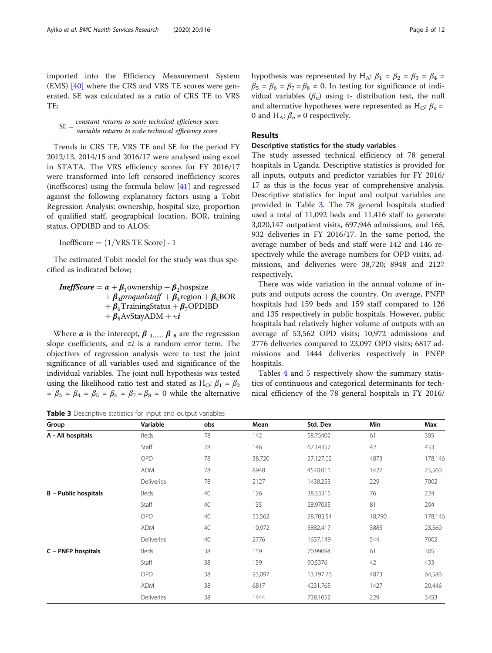imported into the Efficiency Measurement System (EMS) [[40\]](#page-11-0) where the CRS and VRS TE scores were generated. SE was calculated as a ratio of CRS TE to VRS TE:

 $SE = \frac{constant \text{ returns to scale technical efficiency score}}{variable \text{ returns to scale technical efficiency score}}$ 

Trends in CRS TE, VRS TE and SE for the period FY 2012/13, 2014/15 and 2016/17 were analysed using excel in STATA. The VRS efficiency scores for FY 2016/17 were transformed into left censored inefficiency scores (ineffscores) using the formula below [[41](#page-11-0)] and regressed against the following explanatory factors using a Tobit Regression Analysis: ownership, hospital size, proportion of qualified staff, geographical location, BOR, training status, OPDIBD and to ALOS:

 $IneffScore = (1/VRS TE Score) - 1$ 

The estimated Tobit model for the study was thus specified as indicated below;

**IneffScore** =  $\alpha + \beta_1$ ownership +  $\beta_2$ hospsize  $+\beta_3$ proqualstaff  $+\beta_4$ region  $+\beta_5$ BOR  $+ \beta_6$ TrainingStatus  $+ \beta_7$ OPDIBD  $+\beta_8$ AvStayADM + ∈i

Where  $\alpha$  is the intercept,  $\beta_{1, \dots, n} \beta_8$  are the regression slope coefficients, and  $∈i$  is a random error term. The objectives of regression analysis were to test the joint significance of all variables used and significance of the individual variables. The joint null hypothesis was tested using the likelihood ratio test and stated as H<sub>O</sub>:  $\beta_1 = \beta_2$ =  $\beta_3$  =  $\beta_4$  =  $\beta_5$  =  $\beta_6$  =  $\beta_7$  =  $\beta_8$  = 0 while the alternative

Table 3 Descriptive statistics for input and output variables

hypothesis was represented by H<sub>A</sub>:  $\beta_1 = \beta_2 = \beta_3 = \beta_4 =$  $\beta_5 = \beta_6 = \beta_7 = \beta_8 \neq 0$ . In testing for significance of individual variables  $(\beta_n)$  using t- distribution test, the null and alternative hypotheses were represented as  $H_0$ :  $\beta_n =$ 0 and H<sub>A</sub>:  $\beta_n \neq 0$  respectively.

# Results

# Descriptive statistics for the study variables

The study assessed technical efficiency of 78 general hospitals in Uganda. Descriptive statistics is provided for all inputs, outputs and predictor variables for FY 2016/ 17 as this is the focus year of comprehensive analysis. Descriptive statistics for input and output variables are provided in Table 3. The 78 general hospitals studied used a total of 11,092 beds and 11,416 staff to generate 3,020,147 outpatient visits, 697,946 admissions, and 165, 932 deliveries in FY 2016/17. In the same period, the average number of beds and staff were 142 and 146 respectively while the average numbers for OPD visits, admissions, and deliveries were 38,720; 8948 and 2127 respectively.

There was wide variation in the annual volume of inputs and outputs across the country. On average, PNFP hospitals had 159 beds and 159 staff compared to 126 and 135 respectively in public hospitals. However, public hospitals had relatively higher volume of outputs with an average of 53,562 OPD visits; 10,972 admissions and 2776 deliveries compared to 23,097 OPD visits; 6817 admissions and 1444 deliveries respectively in PNFP hospitals.

Tables [4](#page-5-0) and [5](#page-5-0) respectively show the summary statistics of continuous and categorical determinants for technical efficiency of the 78 general hospitals in FY 2016/

| Group                | Variable   | obs | Mean   | Std. Dev  | Min    | Max     |
|----------------------|------------|-----|--------|-----------|--------|---------|
| A - All hospitals    | Beds       | 78  | 142    | 58.75402  | 61     | 305     |
|                      | Staff      | 78  | 146    | 67.14357  | 42     | 433     |
|                      | OPD        | 78  | 38,720 | 27,127.02 | 4873   | 178,146 |
|                      | <b>ADM</b> | 78  | 8948   | 4540.011  | 1427   | 23,560  |
|                      | Deliveries | 78  | 2127   | 1438.253  | 229    | 7002    |
| B - Public hospitals | Beds       | 40  | 126    | 38.33315  | 76     | 224     |
|                      | Staff      | 40  | 135    | 28.97035  | 81     | 204     |
|                      | OPD        | 40  | 53,562 | 28,703.54 | 18,790 | 178,146 |
|                      | <b>ADM</b> | 40  | 10,972 | 3882.417  | 3885   | 23,560  |
|                      | Deliveries | 40  | 2776   | 1637.149  | 544    | 7002    |
| C - PNFP hospitals   | Beds       | 38  | 159    | 70.99094  | 61     | 305     |
|                      | Staff      | 38  | 159    | 90.5376   | 42     | 433     |
|                      | <b>OPD</b> | 38  | 23,097 | 13,197.76 | 4873   | 64,580  |
|                      | <b>ADM</b> | 38  | 6817   | 4231.765  | 1427   | 20,446  |
|                      | Deliveries | 38  | 1444   | 738.1052  | 229    | 3453    |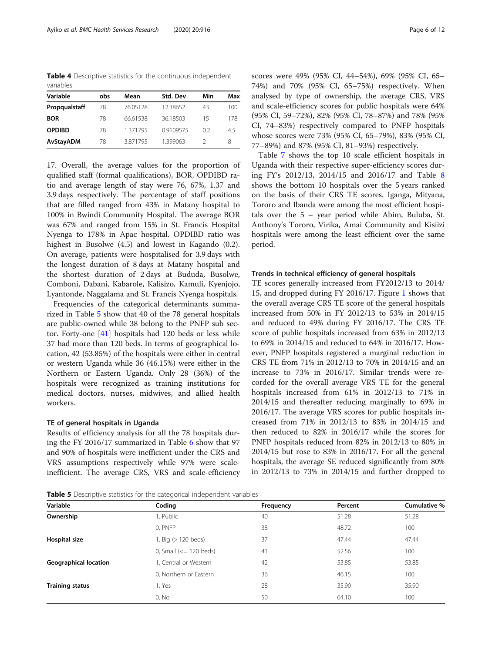<span id="page-5-0"></span>Table 4 Descriptive statistics for the continuous independent variables

| Min | Max       |
|-----|-----------|
|     |           |
| 43  | 100       |
| 15  | 178       |
| 02  | 4.5       |
|     | 8         |
|     | 0.9109575 |

17. Overall, the average values for the proportion of qualified staff (formal qualifications), BOR, OPDIBD ratio and average length of stay were 76, 67%, 1.37 and 3.9 days respectively. The percentage of staff positions that are filled ranged from 43% in Matany hospital to 100% in Bwindi Community Hospital. The average BOR was 67% and ranged from 15% in St. Francis Hospital Nyenga to 178% in Apac hospital. OPDIBD ratio was highest in Busolwe (4.5) and lowest in Kagando (0.2). On average, patients were hospitalised for 3.9 days with the longest duration of 8 days at Matany hospital and the shortest duration of 2 days at Bududa, Busolwe, Comboni, Dabani, Kabarole, Kalisizo, Kamuli, Kyenjojo, Lyantonde, Naggalama and St. Francis Nyenga hospitals.

Frequencies of the categorical determinants summarized in Table 5 show that 40 of the 78 general hospitals are public-owned while 38 belong to the PNFP sub sector. Forty-one [[41](#page-11-0)] hospitals had 120 beds or less while 37 had more than 120 beds. In terms of geographical location, 42 (53.85%) of the hospitals were either in central or western Uganda while 36 (46.15%) were either in the Northern or Eastern Uganda. Only 28 (36%) of the hospitals were recognized as training institutions for medical doctors, nurses, midwives, and allied health workers.

# TE of general hospitals in Uganda

Results of efficiency analysis for all the 78 hospitals during the FY 2016/17 summarized in Table [6](#page-6-0) show that 97 and 90% of hospitals were inefficient under the CRS and VRS assumptions respectively while 97% were scaleinefficient. The average CRS, VRS and scale-efficiency

**Table 5** Descriptive statistics for the categorical independent variables

scores were 49% (95% CI, 44–54%), 69% (95% CI, 65– 74%) and 70% (95% CI, 65–75%) respectively. When analysed by type of ownership, the average CRS, VRS and scale-efficiency scores for public hospitals were 64% (95% CI, 59–72%), 82% (95% CI, 78–87%) and 78% (95% CI, 74–83%) respectively compared to PNFP hospitals whose scores were 73% (95% CI, 65–79%), 83% (95% CI, 77–89%) and 87% (95% CI, 81–93%) respectively.

Table [7](#page-7-0) shows the top 10 scale efficient hospitals in Uganda with their respective super-efficiency scores during FY's 2012/13, 2014/15 and 2016/17 and Table [8](#page-7-0) shows the bottom 10 hospitals over the 5 years ranked on the basis of their CRS TE scores. Iganga, Mityana, Tororo and Ibanda were among the most efficient hospitals over the 5 – year period while Abim, Buluba, St. Anthony's Tororo, Virika, Amai Community and Kisiizi hospitals were among the least efficient over the same period.

# Trends in technical efficiency of general hospitals

TE scores generally increased from FY2012/13 to 2014/ 15, and dropped during FY 2016/17. Figure [1](#page-8-0) shows that the overall average CRS TE score of the general hospitals increased from 50% in FY 2012/13 to 53% in 2014/15 and reduced to 49% during FY 2016/17. The CRS TE score of public hospitals increased from 63% in 2012/13 to 69% in 2014/15 and reduced to 64% in 2016/17. However, PNFP hospitals registered a marginal reduction in CRS TE from 71% in 2012/13 to 70% in 2014/15 and an increase to 73% in 2016/17. Similar trends were recorded for the overall average VRS TE for the general hospitals increased from 61% in 2012/13 to 71% in 2014/15 and thereafter reducing marginally to 69% in 2016/17. The average VRS scores for public hospitals increased from 71% in 2012/13 to 83% in 2014/15 and then reduced to 82% in 2016/17 while the scores for PNFP hospitals reduced from 82% in 2012/13 to 80% in 2014/15 but rose to 83% in 2016/17. For all the general hospitals, the average SE reduced significantly from 80% in 2012/13 to 73% in 2014/15 and further dropped to

| Variable                     | Coding                       | Frequency | Percent | Cumulative % |
|------------------------------|------------------------------|-----------|---------|--------------|
| Ownership                    | 1, Public                    | 40        | 51.28   | 51.28        |
|                              | 0, PNFP                      | 38        | 48.72   | 100          |
| Hospital size                | 1, Big $(>120$ beds)         | 37        | 47.44   | 47.44        |
|                              | 0, Small $\left(<=120$ beds) | 41        | 52.56   | 100          |
| <b>Geographical location</b> | 1, Central or Western        | 42        | 53.85   | 53.85        |
|                              | 0, Northern or Eastern       | 36        | 46.15   | 100          |
| <b>Training status</b>       | 1, Yes                       | 28        | 35.90   | 35.90        |
|                              | 0, No                        | 50        | 64.10   | 100          |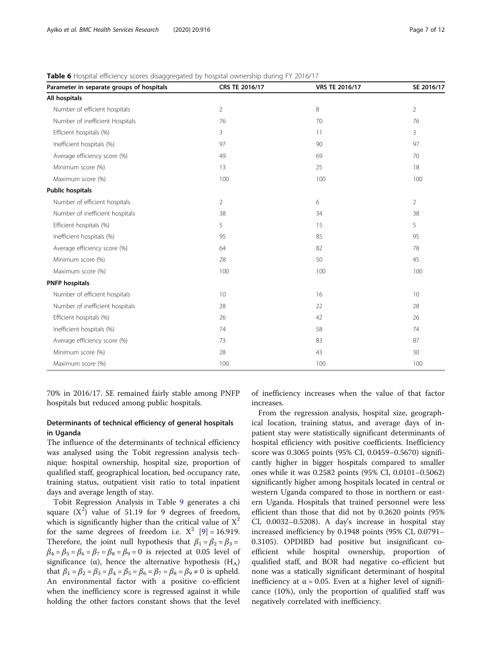| Parameter in separate groups of hospitals | CRS TE 2016/17 | VRS TE 2016/17 | SE 2016/17 |  |
|-------------------------------------------|----------------|----------------|------------|--|
| All hospitals                             |                |                |            |  |
| Number of efficient hospitals             | $\overline{2}$ | 8              | 2          |  |
| Number of inefficient Hospitals           | 76             | 70             | 76         |  |
| Efficient hospitals (%)                   | 3              | 11             | 3          |  |
| Inefficient hospitals (%)                 | 97             | 90             | 97         |  |
| Average efficiency score (%)              | 49             | 69             | 70         |  |
| Minimum score (%)                         | 13             | 25             | 18         |  |
| Maximum score (%)                         | 100            | 100            | 100        |  |
| <b>Public hospitals</b>                   |                |                |            |  |
| Number of efficient hospitals             | $\overline{2}$ | 6              | 2          |  |
| Number of inefficient hospitals           | 38             | 34             | 38         |  |
| Efficient hospitals (%)                   | 5              | 15             | 5          |  |
| Inefficient hospitals (%)                 | 95             | 85             | 95         |  |
| Average efficiency score (%)              | 64             | 82             | 78         |  |
| Minimum score (%)                         | 28             | 50             | 45         |  |
| Maximum score (%)                         | 100            | 100            | 100        |  |
| <b>PNFP hospitals</b>                     |                |                |            |  |
| Number of efficient hospitals             | 10             | 16             | 10         |  |
| Number of inefficient hospitals           | 28             | 22             | 28         |  |
| Efficient hospitals (%)                   | 26             | 42             | 26         |  |
| Inefficient hospitals (%)                 | 74             | 58             | 74         |  |
| Average efficiency score (%)              | 73             | 83             | 87         |  |
| Minimum score (%)                         | 28             | 43             | 30         |  |
| Maximum score (%)                         | 100            | 100            | 100        |  |

<span id="page-6-0"></span>Table 6 Hospital efficiency scores disaggregated by hospital ownership during FY 2016/17

70% in 2016/17. SE remained fairly stable among PNFP hospitals but reduced among public hospitals.

# Determinants of technical efficiency of general hospitals in Uganda

The influence of the determinants of technical efficiency was analysed using the Tobit regression analysis technique: hospital ownership, hospital size, proportion of qualified staff, geographical location, bed occupancy rate, training status, outpatient visit ratio to total inpatient days and average length of stay.

Tobit Regression Analysis in Table [9](#page-8-0) generates a chi square  $(X^2)$  value of 51.19 for 9 degrees of freedom, which is significantly higher than the critical value of  $X^2$ for the same degrees of freedom i.e.  $X^2$  [[9\]](#page-10-0) = 16.919. Therefore, the joint null hypothesis that  $\beta_1 = \beta_2 = \beta_3 =$  $\beta_4 = \beta_5 = \beta_6 = \beta_7 = \beta_8 = \beta_9 = 0$  is rejected at 0.05 level of significance ( $\alpha$ ), hence the alternative hypothesis ( $H_A$ ) that  $\beta_1 = \beta_2 = \beta_3 = \beta_4 = \beta_5 = \beta_6 = \beta_7 = \beta_8 = \beta_9 \neq 0$  is upheld. An environmental factor with a positive co-efficient when the inefficiency score is regressed against it while holding the other factors constant shows that the level

of inefficiency increases when the value of that factor increases.

From the regression analysis, hospital size, geographical location, training status, and average days of inpatient stay were statistically significant determinants of hospital efficiency with positive coefficients. Inefficiency score was 0.3065 points (95% CI, 0.0459–0.5670) significantly higher in bigger hospitals compared to smaller ones while it was 0.2582 points (95% CI, 0.0101–0.5062) significantly higher among hospitals located in central or western Uganda compared to those in northern or eastern Uganda. Hospitals that trained personnel were less efficient than those that did not by 0.2620 points (95% CI, 0.0032–0.5208). A day's increase in hospital stay increased inefficiency by 0.1948 points (95% CI, 0.0791– 0.3105). OPDIBD had positive but insignificant coefficient while hospital ownership, proportion of qualified staff, and BOR had negative co-efficient but none was a statically significant determinant of hospital inefficiency at  $\alpha$  = 0.05. Even at a higher level of significance (10%), only the proportion of qualified staff was negatively correlated with inefficiency.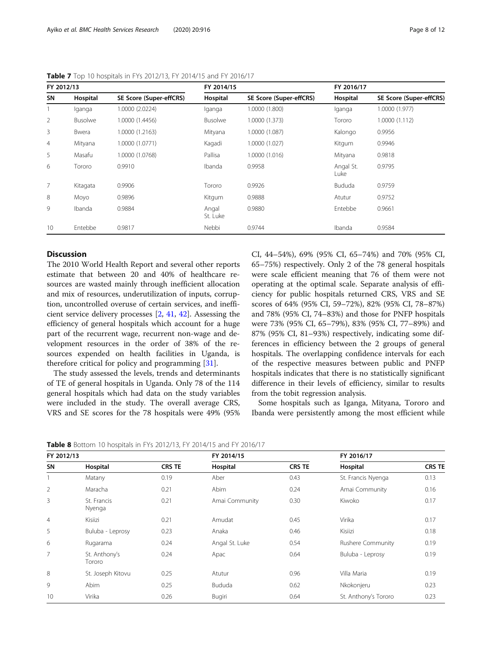| FY 2012/13 |          |                         | FY 2014/15        |                         | FY 2016/17        |                         |
|------------|----------|-------------------------|-------------------|-------------------------|-------------------|-------------------------|
| <b>SN</b>  | Hospital | SE Score (Super-effCRS) | Hospital          | SE Score (Super-effCRS) | Hospital          | SE Score (Super-effCRS) |
|            | lganga   | 1.0000 (2.0224)         | lganga            | 1.0000 (1.800)          | lganga            | 1.0000 (1.977)          |
| 2          | Busolwe  | 1.0000 (1.4456)         | Busolwe           | 1.0000 (1.373)          | Tororo            | 1.0000 (1.112)          |
| 3          | Bwera    | 1.0000 (1.2163)         | Mityana           | 1.0000 (1.087)          | Kalongo           | 0.9956                  |
| 4          | Mityana  | 1.0000 (1.0771)         | Kagadi            | 1.0000 (1.027)          | Kitgum            | 0.9946                  |
| 5          | Masafu   | 1.0000 (1.0768)         | Pallisa           | 1.0000 (1.016)          | Mityana           | 0.9818                  |
| 6          | Tororo   | 0.9910                  | Ibanda            | 0.9958                  | Angal St.<br>Luke | 0.9795                  |
| 7          | Kitagata | 0.9906                  | Tororo            | 0.9926                  | Bududa            | 0.9759                  |
| 8          | Moyo     | 0.9896                  | Kitgum            | 0.9888                  | Atutur            | 0.9752                  |
| 9          | Ibanda   | 0.9884                  | Angal<br>St. Luke | 0.9880                  | Entebbe           | 0.9661                  |
| 10         | Entebbe  | 0.9817                  | Nebbi             | 0.9744                  | Ibanda            | 0.9584                  |

<span id="page-7-0"></span>**Table 7** Top 10 hospitals in FYs 2012/13, FY 2014/15 and FY 2016/17

# **Discussion**

The 2010 World Health Report and several other reports estimate that between 20 and 40% of healthcare resources are wasted mainly through inefficient allocation and mix of resources, underutilization of inputs, corruption, uncontrolled overuse of certain services, and inefficient service delivery processes [\[2,](#page-10-0) [41](#page-11-0), [42\]](#page-11-0). Assessing the efficiency of general hospitals which account for a huge part of the recurrent wage, recurrent non-wage and development resources in the order of 38% of the resources expended on health facilities in Uganda, is therefore critical for policy and programming [[31\]](#page-11-0).

The study assessed the levels, trends and determinants of TE of general hospitals in Uganda. Only 78 of the 114 general hospitals which had data on the study variables were included in the study. The overall average CRS, VRS and SE scores for the 78 hospitals were 49% (95% CI, 44–54%), 69% (95% CI, 65–74%) and 70% (95% CI, 65–75%) respectively. Only 2 of the 78 general hospitals were scale efficient meaning that 76 of them were not operating at the optimal scale. Separate analysis of efficiency for public hospitals returned CRS, VRS and SE scores of 64% (95% CI, 59–72%), 82% (95% CI, 78–87%) and 78% (95% CI, 74–83%) and those for PNFP hospitals were 73% (95% CI, 65–79%), 83% (95% CI, 77–89%) and 87% (95% CI, 81–93%) respectively, indicating some differences in efficiency between the 2 groups of general hospitals. The overlapping confidence intervals for each of the respective measures between public and PNFP hospitals indicates that there is no statistically significant difference in their levels of efficiency, similar to results from the tobit regression analysis.

Some hospitals such as Iganga, Mityana, Tororo and Ibanda were persistently among the most efficient while

| <b>Table 8</b> Bottom 10 hospitals in FYs 2012/13, FY 2014/15 and FY 2016/17 |  |
|------------------------------------------------------------------------------|--|
|------------------------------------------------------------------------------|--|

| FY 2012/13     |                         |               | FY 2014/15     |               | FY 2016/17               |               |
|----------------|-------------------------|---------------|----------------|---------------|--------------------------|---------------|
| <b>SN</b>      | Hospital                | <b>CRS TE</b> | Hospital       | <b>CRS TE</b> | Hospital                 | <b>CRS TE</b> |
|                | Matany                  | 0.19          | Aber           | 0.43          | St. Francis Nyenga       | 0.13          |
| 2              | Maracha                 | 0.21          | <b>Abim</b>    | 0.24          | Amai Community           | 0.16          |
| 3              | St. Francis<br>Nyenga   | 0.21          | Amai Community | 0.30          | Kiwoko                   | 0.17          |
| $\overline{4}$ | Kisiizi                 | 0.21          | Amudat         | 0.45          | Virika                   | 0.17          |
| 5              | Buluba - Leprosy        | 0.23          | Anaka          | 0.46          | Kisiizi                  | 0.18          |
| 6              | Rugarama                | 0.24          | Angal St. Luke | 0.54          | <b>Rushere Community</b> | 0.19          |
| $\overline{7}$ | St. Anthony's<br>Tororo | 0.24          | Apac           | 0.64          | Buluba - Leprosy         | 0.19          |
| 8              | St. Joseph Kitovu       | 0.25          | Atutur         | 0.96          | Villa Maria              | 0.19          |
| 9              | Abim                    | 0.25          | Bududa         | 0.62          | Nkokonjeru               | 0.23          |
| 10             | Virika                  | 0.26          | <b>Bugiri</b>  | 0.64          | St. Anthony's Tororo     | 0.23          |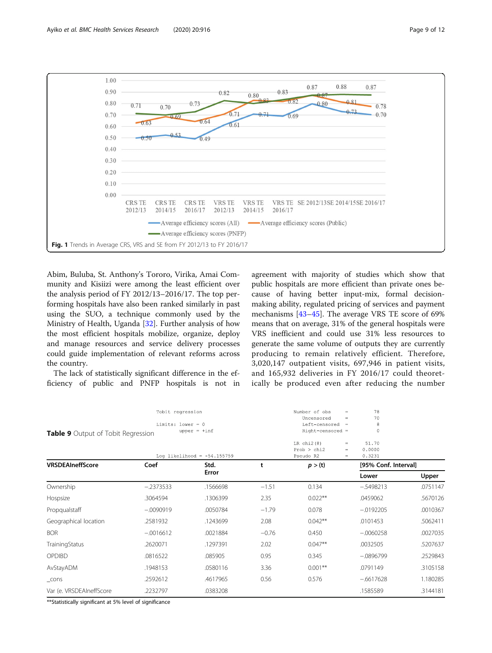<span id="page-8-0"></span>

Abim, Buluba, St. Anthony's Tororo, Virika, Amai Community and Kisiizi were among the least efficient over the analysis period of FY 2012/13–2016/17. The top performing hospitals have also been ranked similarly in past using the SUO, a technique commonly used by the Ministry of Health, Uganda [[32\]](#page-11-0). Further analysis of how the most efficient hospitals mobilize, organize, deploy and manage resources and service delivery processes could guide implementation of relevant reforms across the country.

The lack of statistically significant difference in the efficiency of public and PNFP hospitals is not in

agreement with majority of studies which show that public hospitals are more efficient than private ones because of having better input-mix, formal decisionmaking ability, regulated pricing of services and payment mechanisms [[43](#page-11-0)–[45](#page-11-0)]. The average VRS TE score of 69% means that on average, 31% of the general hospitals were VRS inefficient and could use 31% less resources to generate the same volume of outputs they are currently producing to remain relatively efficient. Therefore, 3,020,147 outpatient visits, 697,946 in patient visits, and 165,932 deliveries in FY 2016/17 could theoretically be produced even after reducing the number

|                                           | Tobit regression    |                               |                                   | Number of obs   | $=$ | 78                   |          |
|-------------------------------------------|---------------------|-------------------------------|-----------------------------------|-----------------|-----|----------------------|----------|
|                                           | Limits: lower = $0$ |                               |                                   | Uncensored      | $=$ | 70                   |          |
|                                           |                     | Left-censored                 | $\hspace{0.1cm} = \hspace{0.1cm}$ | 8               |     |                      |          |
| <b>Table 9</b> Output of Tobit Regression | $upper = +inf$      |                               | Right-censored =                  |                 | 0   |                      |          |
|                                           |                     |                               |                                   | $LR$ chi $2(8)$ | $=$ | 51.70                |          |
|                                           |                     |                               |                                   | Prob > chi2     | $=$ | 0.0000               |          |
|                                           |                     | Log likelihood = $-54.155759$ |                                   | Pseudo R2       | $=$ | 0.3231               |          |
| <b>VRSDEAIneffScore</b>                   | Coef                | Std.                          | t                                 | p>(t)           |     | [95% Conf. Interval] |          |
|                                           |                     | Error                         |                                   |                 |     | Lower                | Upper    |
| Ownership                                 | $-.2373533$         | .1566698                      | $-1.51$                           | 0.134           |     | $-.5498213$          | .0751147 |
| Hospsize                                  | .3064594            | .1306399                      | 2.35                              | $0.022**$       |     | .0459062             | .5670126 |
| Propqualstaff                             | $-.0090919$         | .0050784                      | $-1.79$                           | 0.078           |     | $-.0192205$          | .0010367 |
| Geographical location                     | .2581932            | .1243699                      | 2.08                              | $0.042**$       |     | .0101453             | .5062411 |
| <b>BOR</b>                                | $-.0016612$         | .0021884                      | $-0.76$                           | 0.450           |     | $-.0060258$          | .0027035 |
| TrainingStatus                            | .2620071            | .1297391                      | 2.02                              | $0.047**$       |     | .0032505             | .5207637 |
| OPDIBD                                    | .0816522            | .085905                       | 0.95                              | 0.345           |     | $-.0896799$          | .2529843 |
| AvStayADM                                 | .1948153            | .0580116                      | 3.36                              | $0.001***$      |     | .0791149             | .3105158 |
| $\_cons$                                  | .2592612            | .4617965                      | 0.56                              | 0.576           |     | $-.6617628$          | 1.180285 |
| Var (e. VRSDEAIneffScore                  | .2232797            | .0383208                      |                                   |                 |     | .1585589             | .3144181 |

\*\*Statistically significant at 5% level of significance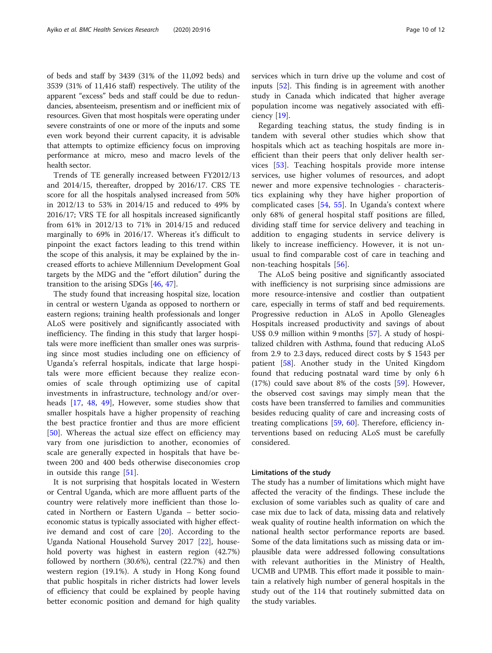of beds and staff by 3439 (31% of the 11,092 beds) and 3539 (31% of 11,416 staff) respectively. The utility of the apparent "excess" beds and staff could be due to redundancies, absenteeism, presentism and or inefficient mix of resources. Given that most hospitals were operating under severe constraints of one or more of the inputs and some even work beyond their current capacity, it is advisable that attempts to optimize efficiency focus on improving performance at micro, meso and macro levels of the health sector.

Trends of TE generally increased between FY2012/13 and 2014/15, thereafter, dropped by 2016/17. CRS TE score for all the hospitals analysed increased from 50% in 2012/13 to 53% in 2014/15 and reduced to 49% by 2016/17; VRS TE for all hospitals increased significantly from 61% in 2012/13 to 71% in 2014/15 and reduced marginally to 69% in 2016/17. Whereas it's difficult to pinpoint the exact factors leading to this trend within the scope of this analysis, it may be explained by the increased efforts to achieve Millennium Development Goal targets by the MDG and the "effort dilution" during the transition to the arising SDGs [\[46](#page-11-0), [47](#page-11-0)].

The study found that increasing hospital size, location in central or western Uganda as opposed to northern or eastern regions; training health professionals and longer ALoS were positively and significantly associated with inefficiency. The finding in this study that larger hospitals were more inefficient than smaller ones was surprising since most studies including one on efficiency of Uganda's referral hospitals, indicate that large hospitals were more efficient because they realize economies of scale through optimizing use of capital investments in infrastructure, technology and/or overheads [\[17](#page-11-0), [48,](#page-11-0) [49\]](#page-11-0), However, some studies show that smaller hospitals have a higher propensity of reaching the best practice frontier and thus are more efficient [[50\]](#page-11-0). Whereas the actual size effect on efficiency may vary from one jurisdiction to another, economies of scale are generally expected in hospitals that have between 200 and 400 beds otherwise diseconomies crop in outside this range [\[51](#page-11-0)].

It is not surprising that hospitals located in Western or Central Uganda, which are more affluent parts of the country were relatively more inefficient than those located in Northern or Eastern Uganda – better socioeconomic status is typically associated with higher effective demand and cost of care [[20](#page-11-0)]. According to the Uganda National Household Survey 2017 [[22\]](#page-11-0), household poverty was highest in eastern region (42.7%) followed by northern (30.6%), central (22.7%) and then western region (19.1%). A study in Hong Kong found that public hospitals in richer districts had lower levels of efficiency that could be explained by people having better economic position and demand for high quality services which in turn drive up the volume and cost of inputs [[52\]](#page-11-0). This finding is in agreement with another study in Canada which indicated that higher average population income was negatively associated with efficiency [\[19](#page-11-0)].

Regarding teaching status, the study finding is in tandem with several other studies which show that hospitals which act as teaching hospitals are more inefficient than their peers that only deliver health services [\[53](#page-11-0)]. Teaching hospitals provide more intense services, use higher volumes of resources, and adopt newer and more expensive technologies - characteristics explaining why they have higher proportion of complicated cases [[54,](#page-11-0) [55](#page-11-0)]. In Uganda's context where only 68% of general hospital staff positions are filled, dividing staff time for service delivery and teaching in addition to engaging students in service delivery is likely to increase inefficiency. However, it is not unusual to find comparable cost of care in teaching and non-teaching hospitals [[56](#page-11-0)].

The ALoS being positive and significantly associated with inefficiency is not surprising since admissions are more resource-intensive and costlier than outpatient care, especially in terms of staff and bed requirements. Progressive reduction in ALoS in Apollo Gleneagles Hospitals increased productivity and savings of about US\$ 0.9 million within 9 months [\[57\]](#page-11-0). A study of hospitalized children with Asthma, found that reducing ALoS from 2.9 to 2.3 days, reduced direct costs by \$ 1543 per patient [[58](#page-11-0)]. Another study in the United Kingdom found that reducing postnatal ward time by only 6 h (17%) could save about 8% of the costs [[59](#page-11-0)]. However, the observed cost savings may simply mean that the costs have been transferred to families and communities besides reducing quality of care and increasing costs of treating complications [[59,](#page-11-0) [60](#page-11-0)]. Therefore, efficiency interventions based on reducing ALoS must be carefully considered.

#### Limitations of the study

The study has a number of limitations which might have affected the veracity of the findings. These include the exclusion of some variables such as quality of care and case mix due to lack of data, missing data and relatively weak quality of routine health information on which the national health sector performance reports are based. Some of the data limitations such as missing data or implausible data were addressed following consultations with relevant authorities in the Ministry of Health, UCMB and UPMB. This effort made it possible to maintain a relatively high number of general hospitals in the study out of the 114 that routinely submitted data on the study variables.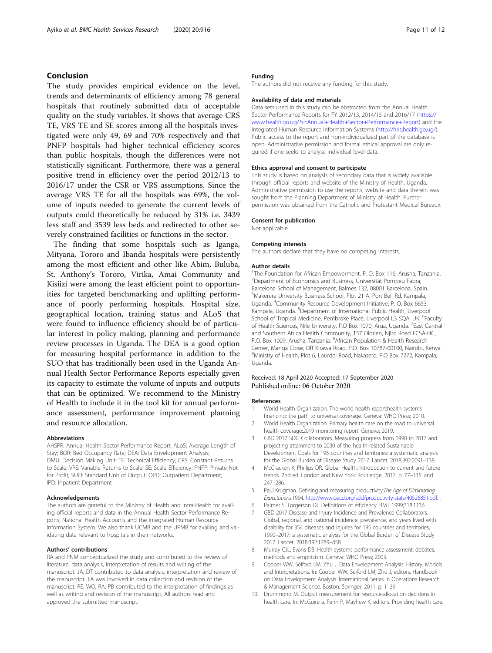# <span id="page-10-0"></span>Conclusion

The study provides empirical evidence on the level, trends and determinants of efficiency among 78 general hospitals that routinely submitted data of acceptable quality on the study variables. It shows that average CRS TE, VRS TE and SE scores among all the hospitals investigated were only 49, 69 and 70% respectively and that PNFP hospitals had higher technical efficiency scores than public hospitals, though the differences were not statistically significant. Furthermore, there was a general positive trend in efficiency over the period 2012/13 to 2016/17 under the CSR or VRS assumptions. Since the average VRS TE for all the hospitals was 69%, the volume of inputs needed to generate the current levels of outputs could theoretically be reduced by 31% i.e. 3439 less staff and 3539 less beds and redirected to other severely constrained facilities or functions in the sector.

The finding that some hospitals such as Iganga, Mityana, Tororo and Ibanda hospitals were persistently among the most efficient and other like Abim, Buluba, St. Anthony's Tororo, Virika, Amai Community and Kisiizi were among the least efficient point to opportunities for targeted benchmarking and uplifting performance of poorly performing hospitals. Hospital size, geographical location, training status and ALoS that were found to influence efficiency should be of particular interest in policy making, planning and performance review processes in Uganda. The DEA is a good option for measuring hospital performance in addition to the SUO that has traditionally been used in the Uganda Annual Health Sector Performance Reports especially given its capacity to estimate the volume of inputs and outputs that can be optimized. We recommend to the Ministry of Health to include it in the tool kit for annual performance assessment, performance improvement planning and resource allocation.

#### Abbreviations

AHSPR: Annual Health Sector Performance Report; ALoS: Average Length of Stay; BOR: Bed Occupancy Rate; DEA: Data Envelopment Analysis; DMU: Decision Making Unit; TE: Technical Efficiency; CRS: Constant Returns to Scale; VRS: Variable Returns to Scale; SE: Scale Efficiency; PNFP: Private Not for Profit; SUO: Standard Unit of Output; OPD: Outpatient Department; IPD: Inpatient Department

#### Acknowledgements

The authors are grateful to the Ministry of Health and Intra-Health for availing official reports and data in the Annual Health Sector Performance Reports, National Health Accounts and the integrated Human Resource Information System. We also thank UCMB and the UPMB for availing and validating data relevant to hospitals in their networks.

#### Authors' contributions

RA and PNM conceptualized the study and contributed to the review of literature, data analysis, interpretation of results and writing of the manuscript. JA, DT contributed to data analysis, interpretation and review of the manuscript. TA was involved in data collection and revision of the manuscript. RE, WO, RA, PB contributed to the interpretation of findings as well as writing and revision of the manuscript. All authors read and approved the submitted manuscript.

# Funding

The authors did not receive any funding for this study.

#### Availability of data and materials

Data sets used in this study can be abstracted from the Annual Health Sector Performance Reports for FY 2012/13, 2014/15 and 2016/17 ([https://](https://www.health.go.ug/?s=Annual+Health+Sector+Performance+Report) [www.health.go.ug/?s=Annual+Health+Sector+Performance+Report](https://www.health.go.ug/?s=Annual+Health+Sector+Performance+Report)) and the Integrated Human Resource Information Systems [\(http://hris.health.go.ug/\)](http://hris.health.go.ug/). Public access to the report and non-individualized part of the database is open. Administrative permission and formal ethical approval are only required if one seeks to analyse individual level data.

#### Ethics approval and consent to participate

This study is based on analysis of secondary data that is widely available through official reports and website of the Ministry of Health, Uganda. Administrative permission to use the reports, website and data therein was sought from the Planning Department of Ministry of Health. Further permission was obtained from the Catholic and Protestant Medical Bureaux.

#### Consent for publication

Not applicable.

#### Competing interests

The authors declare that they have no competing interests.

#### Author details

<sup>1</sup>The Foundation for African Empowerment, P. O. Box 116, Arusha, Tanzania. 2 Department of Economics and Business, Universitat Pompeu Fabra, Barcelona School of Management, Balmes 132, 08001 Barcelona, Spain. <sup>3</sup>Makerere University Business School, Plot 21 A, Port Bell Rd, Kampala Uganda. <sup>4</sup> Community Resource Development Initiative, P. O. Box 6653, Kampala, Uganda. <sup>5</sup>Department of International Public Health, Liverpool School of Tropical Medicine, Pembroke Place, Liverpool L3 5QA, UK. <sup>6</sup>Faculty of Health Sciences, Nile University, P.O Box 1070, Arua, Uganda. <sup>7</sup>East Central and Southern Africa Health Community, 157 Olorien, Njiro Road ECSA-HC, P.O. Box 1009, Arusha, Tanzania. <sup>8</sup>African Population & Health Research Center, Manga Close, Off Kirawa Road, P.O. Box 10787-00100, Nairobi, Kenya. <sup>9</sup>Ministry of Health, Plot 6, Lourdel Road, Nakasero, P.O Box 7272, Kampala Uganda.

### Received: 18 April 2020 Accepted: 17 September 2020 Published online: 06 October 2020

#### References

- World Health Organization. The world health report:health systems financing: the path to universal coverage. Geneva: WHO Press; 2010.
- 2. World Health Organization. Primary health care on the road to universal health coverage:2019 monitoring report. Geneva; 2019.
- 3. GBD 2017 SDG Collaborators. Measuring progress from 1990 to 2017 and projecting attainment to 2030 of the health-related Sustainable Development Goals for 195 countries and territories: a systematic analysis for the Global Burden of Disease Study 2017. Lancet. 2018;392:2091–138.
- 4. McCracken K, Phillips DR. Global Health: Introduction to current and future trends. 2nd ed. London and New York: Routledge; 2017. p. 77–115. and 247–286.
- 5. Paul Krugman. Defining and measuring productivity:The Age of Diminishing Expectations.1994. <http://www.oecd.org/sdd/productivity-stats/40526851.pdf>. .
- 6. Palmer S, Torgerson DJ. Definitions of efficiency. BMJ. 1999;318:1136.
- GBD 2017 Disease and Injury Incidence and Prevalence Collaborators. Global, regional, and national incidence, prevalence, and years lived with disability for 354 diseases and injuries for 195 countries and territories, 1990–2017: a systematic analysis for the Global Burden of Disease Study 2017. Lancet. 2018;392:1789–858.
- 8. Murray CJL, Evans DB. Health systems performance assessment: debates, methods and empiricism. Geneva: WHO Press; 2003.
- 9. Cooper WW, Seiford LM, Zhu J. Data Envelopment Analysis: History, Models and Interpretations. In: Cooper WW, Seiford LM, Zhu J, editors. Handbook on Data Envelopment Analysis. International Series in Operations Research & Management Science. Boston: Springer; 2011. p. 1–39.
- 10. Drummond M. Output measurement for resource-allocation decisions in health care. In: McGuire a, Fenn P, Mayhew K, editors. Providing health care.